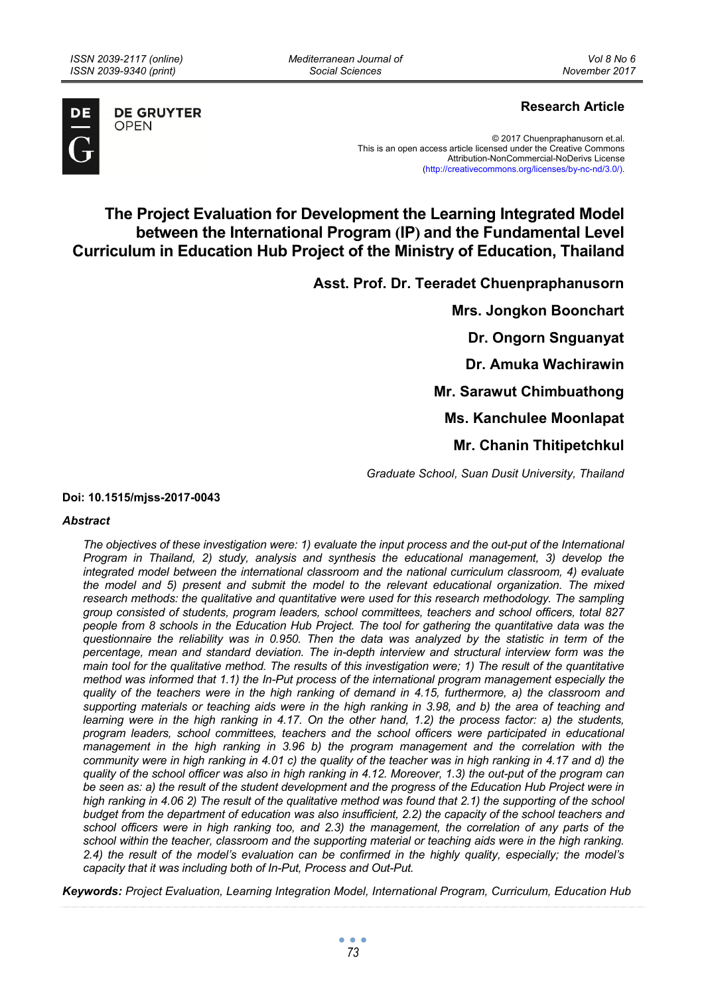*Mediterranean Journal of Social Sciences* 



**DE GRUYTER OPEN** 

# **Research Article**

© 2017 Chuenpraphanusorn et.al. This is an open access article licensed under the Creative Commons Attribution-NonCommercial-NoDerivs License (http://creativecommons.org/licenses/by-nc-nd/3.0/).

# **The Project Evaluation for Development the Learning Integrated Model between the International Program (IP) and the Fundamental Level Curriculum in Education Hub Project of the Ministry of Education, Thailand**

**Asst. Prof. Dr. Teeradet Chuenpraphanusorn** 

**Mrs. Jongkon Boonchart Dr. Ongorn Snguanyat Dr. Amuka Wachirawin Mr. Sarawut Chimbuathong Ms. Kanchulee Moonlapat Mr. Chanin Thitipetchkul** 

*Graduate School, Suan Dusit University, Thailand* 

#### **Doi: 10.1515/mjss-2017-0043**

#### *Abstract*

*The objectives of these investigation were: 1) evaluate the input process and the out-put of the International Program in Thailand, 2) study, analysis and synthesis the educational management, 3) develop the integrated model between the international classroom and the national curriculum classroom, 4) evaluate the model and 5) present and submit the model to the relevant educational organization. The mixed research methods: the qualitative and quantitative were used for this research methodology. The sampling group consisted of students, program leaders, school committees, teachers and school officers, total 827 people from 8 schools in the Education Hub Project. The tool for gathering the quantitative data was the questionnaire the reliability was in 0.950. Then the data was analyzed by the statistic in term of the percentage, mean and standard deviation. The in-depth interview and structural interview form was the main tool for the qualitative method. The results of this investigation were; 1) The result of the quantitative method was informed that 1.1) the In-Put process of the international program management especially the quality of the teachers were in the high ranking of demand in 4.15, furthermore, a) the classroom and supporting materials or teaching aids were in the high ranking in 3.98, and b) the area of teaching and learning were in the high ranking in 4.17. On the other hand, 1.2) the process factor: a) the students, program leaders, school committees, teachers and the school officers were participated in educational management in the high ranking in 3.96 b) the program management and the correlation with the community were in high ranking in 4.01 c) the quality of the teacher was in high ranking in 4.17 and d) the quality of the school officer was also in high ranking in 4.12. Moreover, 1.3) the out-put of the program can*  be seen as: a) the result of the student development and the progress of the Education Hub Project were in *high ranking in 4.06 2) The result of the qualitative method was found that 2.1) the supporting of the school budget from the department of education was also insufficient, 2.2) the capacity of the school teachers and school officers were in high ranking too, and 2.3) the management, the correlation of any parts of the school within the teacher, classroom and the supporting material or teaching aids were in the high ranking. 2.4) the result of the model's evaluation can be confirmed in the highly quality, especially; the model's capacity that it was including both of In-Put, Process and Out-Put.* 

*Keywords: Project Evaluation, Learning Integration Model, International Program, Curriculum, Education Hub*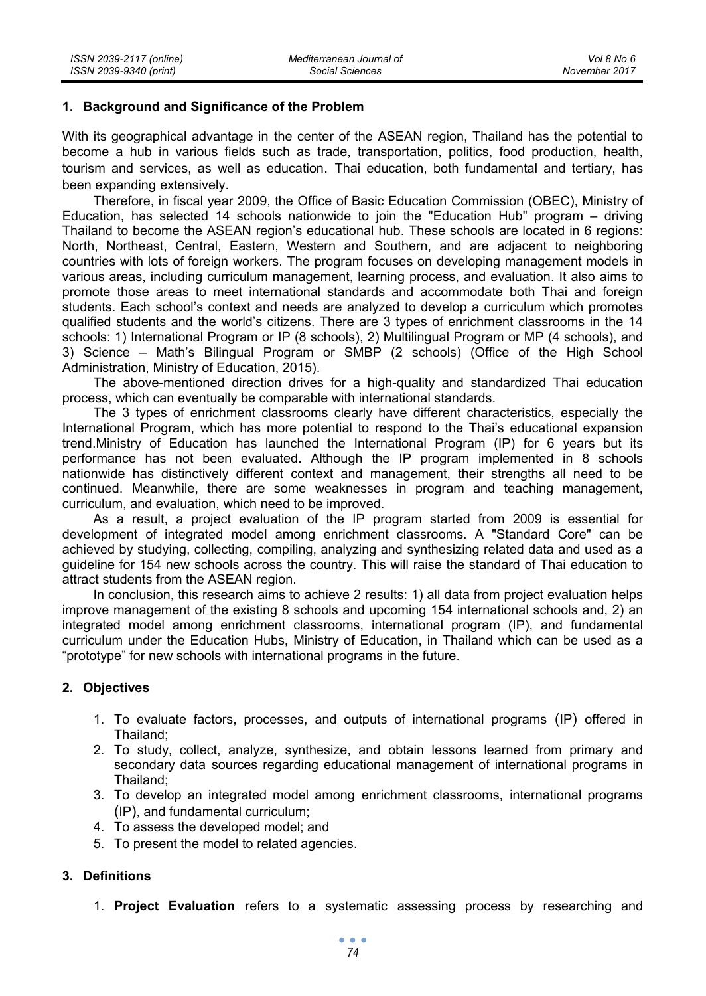### **1. Background and Significance of the Problem**

With its geographical advantage in the center of the ASEAN region, Thailand has the potential to become a hub in various fields such as trade, transportation, politics, food production, health, tourism and services, as well as education. Thai education, both fundamental and tertiary, has been expanding extensively.

Therefore, in fiscal year 2009, the Office of Basic Education Commission (OBEC), Ministry of Education, has selected 14 schools nationwide to join the "Education Hub" program – driving Thailand to become the ASEAN region's educational hub. These schools are located in 6 regions: North, Northeast, Central, Eastern, Western and Southern, and are adjacent to neighboring countries with lots of foreign workers. The program focuses on developing management models in various areas, including curriculum management, learning process, and evaluation. It also aims to promote those areas to meet international standards and accommodate both Thai and foreign students. Each school's context and needs are analyzed to develop a curriculum which promotes qualified students and the world's citizens. There are 3 types of enrichment classrooms in the 14 schools: 1) International Program or IP (8 schools), 2) Multilingual Program or MP (4 schools), and 3) Science – Math's Bilingual Program or SMBP (2 schools) (Office of the High School Administration, Ministry of Education, 2015).

The above-mentioned direction drives for a high-quality and standardized Thai education process, which can eventually be comparable with international standards.

The 3 types of enrichment classrooms clearly have different characteristics, especially the International Program, which has more potential to respond to the Thai's educational expansion trend.Ministry of Education has launched the International Program (IP) for 6 years but its performance has not been evaluated. Although the IP program implemented in 8 schools nationwide has distinctively different context and management, their strengths all need to be continued. Meanwhile, there are some weaknesses in program and teaching management, curriculum, and evaluation, which need to be improved.

As a result, a project evaluation of the IP program started from 2009 is essential for development of integrated model among enrichment classrooms. A "Standard Core" can be achieved by studying, collecting, compiling, analyzing and synthesizing related data and used as a guideline for 154 new schools across the country. This will raise the standard of Thai education to attract students from the ASEAN region.

In conclusion, this research aims to achieve 2 results: 1) all data from project evaluation helps improve management of the existing 8 schools and upcoming 154 international schools and, 2) an integrated model among enrichment classrooms, international program (IP), and fundamental curriculum under the Education Hubs, Ministry of Education, in Thailand which can be used as a "prototype" for new schools with international programs in the future.

## **2. Objectives**

- 1. To evaluate factors, processes, and outputs of international programs (IP) offered in Thailand;
- 2. To study, collect, analyze, synthesize, and obtain lessons learned from primary and secondary data sources regarding educational management of international programs in Thailand;
- 3. To develop an integrated model among enrichment classrooms, international programs (IP), and fundamental curriculum;
- 4. To assess the developed model; and
- 5. To present the model to related agencies.

# **3. Definitions**

1. **Project Evaluation** refers to a systematic assessing process by researching and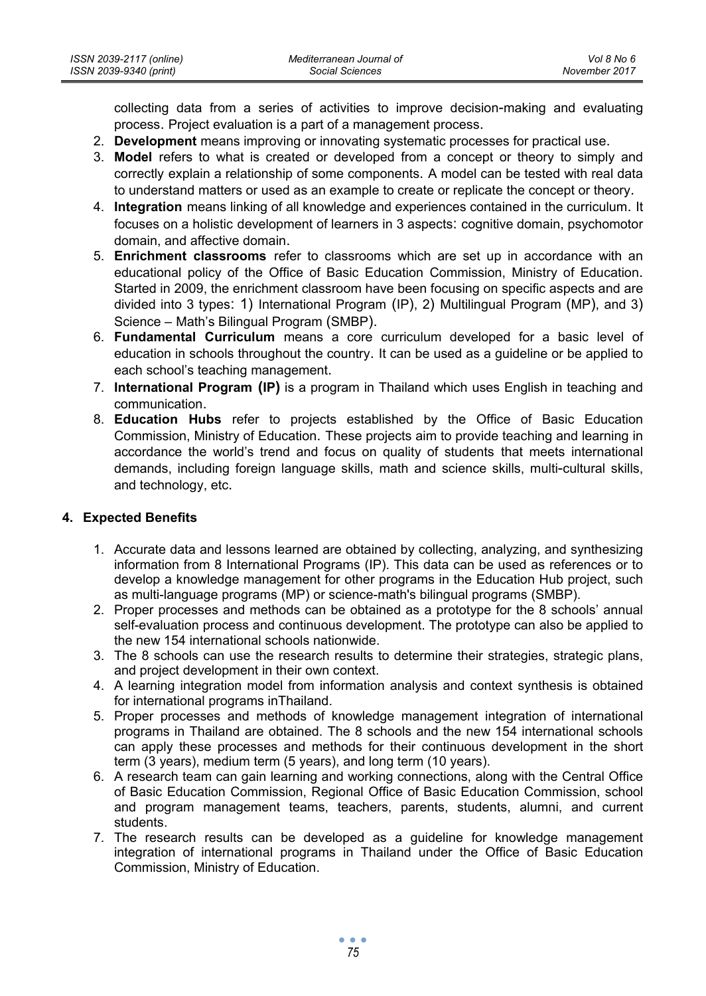collecting data from a series of activities to improve decision-making and evaluating process. Project evaluation is a part of a management process.

- 2. **Development** means improving or innovating systematic processes for practical use.
- 3. **Model** refers to what is created or developed from a concept or theory to simply and correctly explain a relationship of some components. A model can be tested with real data to understand matters or used as an example to create or replicate the concept or theory.
- 4. **Integration** means linking of all knowledge and experiences contained in the curriculum. It focuses on a holistic development of learners in 3 aspects: cognitive domain, psychomotor domain, and affective domain.
- 5. **Enrichment classrooms** refer to classrooms which are set up in accordance with an educational policy of the Office of Basic Education Commission, Ministry of Education. Started in 2009, the enrichment classroom have been focusing on specific aspects and are divided into 3 types: 1) International Program (IP), 2) Multilingual Program (MP), and 3) Science – Math's Bilingual Program (SMBP).
- 6. **Fundamental Curriculum** means a core curriculum developed for a basic level of education in schools throughout the country. It can be used as a guideline or be applied to each school's teaching management.
- 7. **International Program (IP)** is a program in Thailand which uses English in teaching and communication.
- 8. **Education Hubs** refer to projects established by the Office of Basic Education Commission, Ministry of Education. These projects aim to provide teaching and learning in accordance the world's trend and focus on quality of students that meets international demands, including foreign language skills, math and science skills, multi-cultural skills, and technology, etc.

# **4. Expected Benefits**

- 1. Accurate data and lessons learned are obtained by collecting, analyzing, and synthesizing information from 8 International Programs (IP). This data can be used as references or to develop a knowledge management for other programs in the Education Hub project, such as multi-language programs (MP) or science-math's bilingual programs (SMBP).
- 2. Proper processes and methods can be obtained as a prototype for the 8 schools' annual self-evaluation process and continuous development. The prototype can also be applied to the new 154 international schools nationwide.
- 3. The 8 schools can use the research results to determine their strategies, strategic plans, and project development in their own context.
- 4. A learning integration model from information analysis and context synthesis is obtained for international programs inThailand.
- 5. Proper processes and methods of knowledge management integration of international programs in Thailand are obtained. The 8 schools and the new 154 international schools can apply these processes and methods for their continuous development in the short term (3 years), medium term (5 years), and long term (10 years).
- 6. A research team can gain learning and working connections, along with the Central Office of Basic Education Commission, Regional Office of Basic Education Commission, school and program management teams, teachers, parents, students, alumni, and current students.
- 7. The research results can be developed as a guideline for knowledge management integration of international programs in Thailand under the Office of Basic Education Commission, Ministry of Education.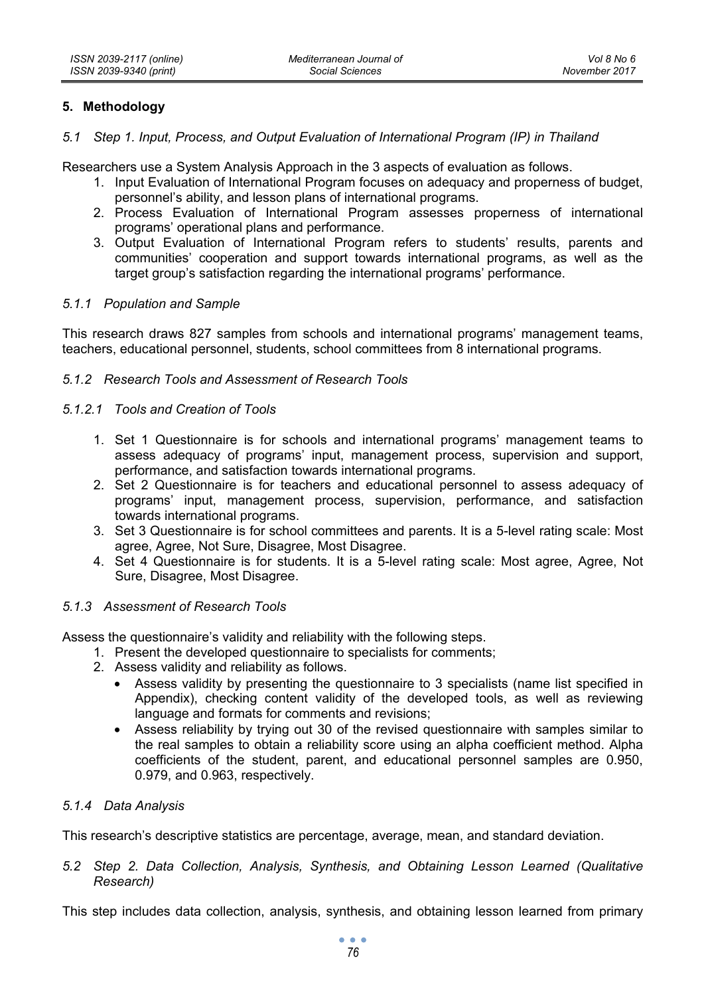# **5. Methodology**

### *5.1 Step 1. Input, Process, and Output Evaluation of International Program (IP) in Thailand*

Researchers use a System Analysis Approach in the 3 aspects of evaluation as follows.

- 1. Input Evaluation of International Program focuses on adequacy and properness of budget, personnel's ability, and lesson plans of international programs.
- 2. Process Evaluation of International Program assesses properness of international programs' operational plans and performance.
- 3. Output Evaluation of International Program refers to students' results, parents and communities' cooperation and support towards international programs, as well as the target group's satisfaction regarding the international programs' performance.

### *5.1.1 Population and Sample*

This research draws 827 samples from schools and international programs' management teams, teachers, educational personnel, students, school committees from 8 international programs.

# *5.1.2 Research Tools and Assessment of Research Tools*

#### *5.1.2.1 Tools and Creation of Tools*

- 1. Set 1 Questionnaire is for schools and international programs' management teams to assess adequacy of programs' input, management process, supervision and support, performance, and satisfaction towards international programs.
- 2. Set 2 Questionnaire is for teachers and educational personnel to assess adequacy of programs' input, management process, supervision, performance, and satisfaction towards international programs.
- 3. Set 3 Questionnaire is for school committees and parents. It is a 5-level rating scale: Most agree, Agree, Not Sure, Disagree, Most Disagree.
- 4. Set 4 Questionnaire is for students. It is a 5-level rating scale: Most agree, Agree, Not Sure, Disagree, Most Disagree.

#### *5.1.3 Assessment of Research Tools*

Assess the questionnaire's validity and reliability with the following steps.

- 1. Present the developed questionnaire to specialists for comments;
- 2. Assess validity and reliability as follows.
	- Assess validity by presenting the questionnaire to 3 specialists (name list specified in Appendix), checking content validity of the developed tools, as well as reviewing language and formats for comments and revisions;
	- Assess reliability by trying out 30 of the revised questionnaire with samples similar to the real samples to obtain a reliability score using an alpha coefficient method. Alpha coefficients of the student, parent, and educational personnel samples are 0.950, 0.979, and 0.963, respectively.

## *5.1.4 Data Analysis*

This research's descriptive statistics are percentage, average, mean, and standard deviation.

*5.2 Step 2. Data Collection, Analysis, Synthesis, and Obtaining Lesson Learned (Qualitative Research)* 

This step includes data collection, analysis, synthesis, and obtaining lesson learned from primary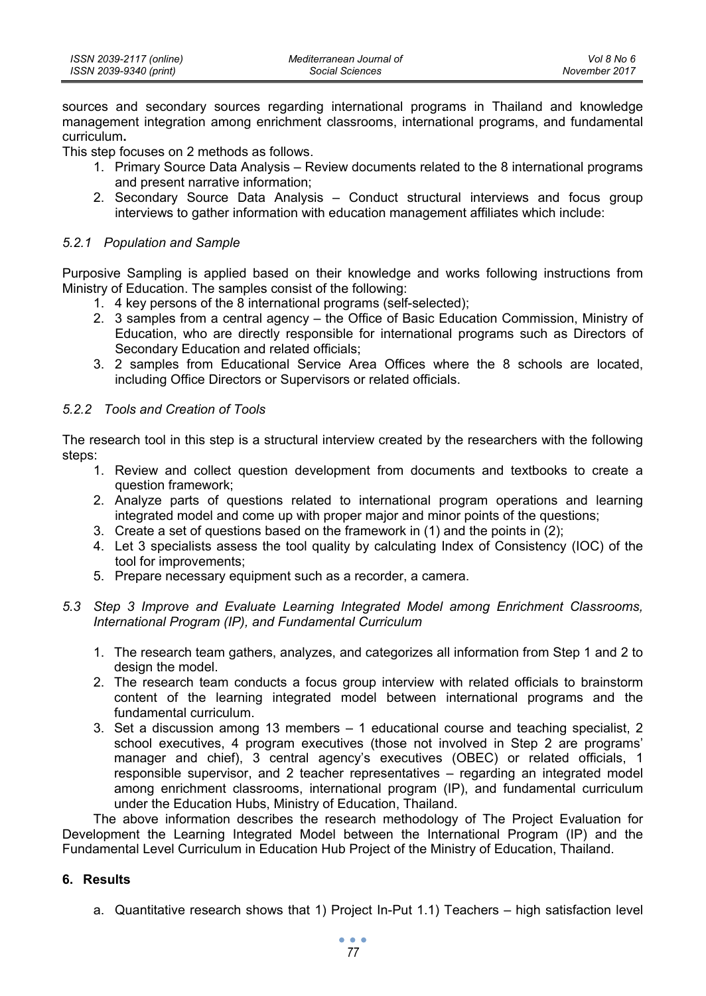| ISSN 2039-2117 (online) | Mediterranean Journal of | Vol 8 No 6    |
|-------------------------|--------------------------|---------------|
| ISSN 2039-9340 (print)  | Social Sciences          | November 2017 |

sources and secondary sources regarding international programs in Thailand and knowledge management integration among enrichment classrooms, international programs, and fundamental curriculum**.** 

This step focuses on 2 methods as follows.

- 1. Primary Source Data Analysis Review documents related to the 8 international programs and present narrative information;
- 2. Secondary Source Data Analysis Conduct structural interviews and focus group interviews to gather information with education management affiliates which include:

#### *5.2.1 Population and Sample*

Purposive Sampling is applied based on their knowledge and works following instructions from Ministry of Education. The samples consist of the following:

- 1. 4 key persons of the 8 international programs (self-selected);
- 2. 3 samples from a central agency the Office of Basic Education Commission, Ministry of Education, who are directly responsible for international programs such as Directors of Secondary Education and related officials;
- 3. 2 samples from Educational Service Area Offices where the 8 schools are located, including Office Directors or Supervisors or related officials.

### *5.2.2 Tools and Creation of Tools*

The research tool in this step is a structural interview created by the researchers with the following steps:

- 1. Review and collect question development from documents and textbooks to create a question framework;
- 2. Analyze parts of questions related to international program operations and learning integrated model and come up with proper major and minor points of the questions;
- 3. Create a set of questions based on the framework in (1) and the points in (2);
- 4. Let 3 specialists assess the tool quality by calculating Index of Consistency (IOC) of the tool for improvements;
- 5. Prepare necessary equipment such as a recorder, a camera.
- *5.3 Step 3 Improve and Evaluate Learning Integrated Model among Enrichment Classrooms, International Program (IP), and Fundamental Curriculum* 
	- 1. The research team gathers, analyzes, and categorizes all information from Step 1 and 2 to design the model.
	- 2. The research team conducts a focus group interview with related officials to brainstorm content of the learning integrated model between international programs and the fundamental curriculum.
	- 3. Set a discussion among 13 members 1 educational course and teaching specialist, 2 school executives, 4 program executives (those not involved in Step 2 are programs' manager and chief), 3 central agency's executives (OBEC) or related officials, 1 responsible supervisor, and 2 teacher representatives – regarding an integrated model among enrichment classrooms, international program (IP), and fundamental curriculum under the Education Hubs, Ministry of Education, Thailand.

The above information describes the research methodology of The Project Evaluation for Development the Learning Integrated Model between the International Program (IP) and the Fundamental Level Curriculum in Education Hub Project of the Ministry of Education, Thailand.

## **6. Results**

a. Quantitative research shows that 1) Project In-Put 1.1) Teachers – high satisfaction level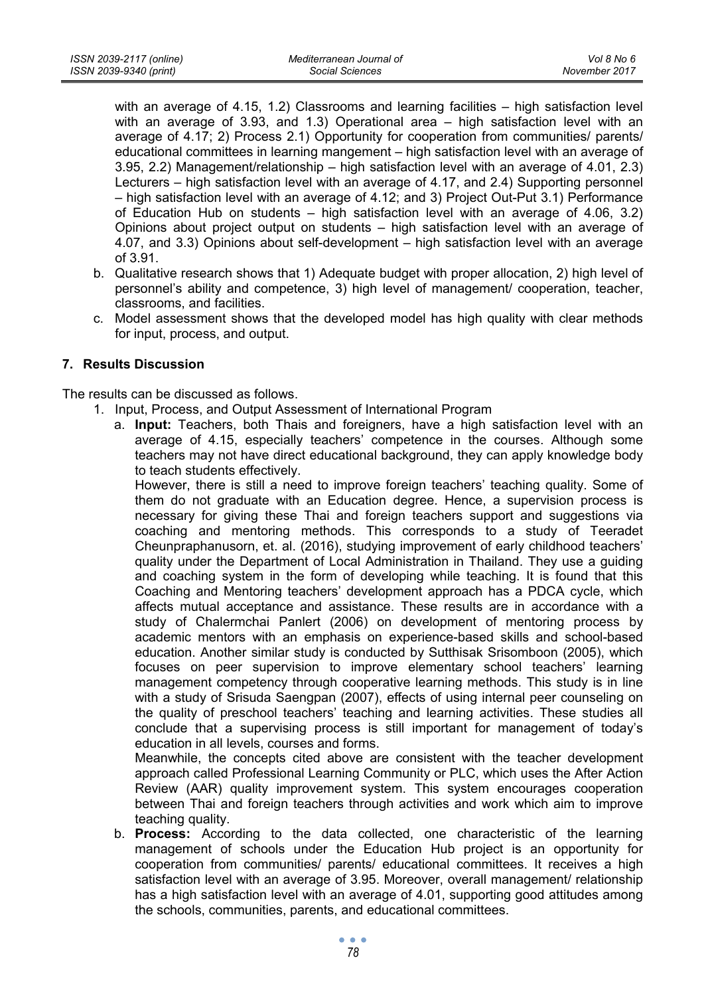with an average of 4.15, 1.2) Classrooms and learning facilities – high satisfaction level with an average of 3.93, and 1.3) Operational area – high satisfaction level with an average of 4.17; 2) Process 2.1) Opportunity for cooperation from communities/ parents/ educational committees in learning mangement – high satisfaction level with an average of 3.95, 2.2) Management/relationship – high satisfaction level with an average of 4.01, 2.3) Lecturers – high satisfaction level with an average of 4.17, and 2.4) Supporting personnel – high satisfaction level with an average of 4.12; and 3) Project Out-Put 3.1) Performance of Education Hub on students – high satisfaction level with an average of 4.06, 3.2) Opinions about project output on students – high satisfaction level with an average of 4.07, and 3.3) Opinions about self-development – high satisfaction level with an average of 3.91.

- b. Qualitative research shows that 1) Adequate budget with proper allocation, 2) high level of personnel's ability and competence, 3) high level of management/ cooperation, teacher, classrooms, and facilities.
- c. Model assessment shows that the developed model has high quality with clear methods for input, process, and output.

# **7. Results Discussion**

The results can be discussed as follows.

- 1. Input, Process, and Output Assessment of International Program
	- a. **Input:** Teachers, both Thais and foreigners, have a high satisfaction level with an average of 4.15, especially teachers' competence in the courses. Although some teachers may not have direct educational background, they can apply knowledge body to teach students effectively.

However, there is still a need to improve foreign teachers' teaching quality. Some of them do not graduate with an Education degree. Hence, a supervision process is necessary for giving these Thai and foreign teachers support and suggestions via coaching and mentoring methods. This corresponds to a study of Teeradet Cheunpraphanusorn, et. al. (2016), studying improvement of early childhood teachers' quality under the Department of Local Administration in Thailand. They use a guiding and coaching system in the form of developing while teaching. It is found that this Coaching and Mentoring teachers' development approach has a PDCA cycle, which affects mutual acceptance and assistance. These results are in accordance with a study of Chalermchai Panlert (2006) on development of mentoring process by academic mentors with an emphasis on experience-based skills and school-based education. Another similar study is conducted by Sutthisak Srisomboon (2005), which focuses on peer supervision to improve elementary school teachers' learning management competency through cooperative learning methods. This study is in line with a study of Srisuda Saengpan (2007), effects of using internal peer counseling on the quality of preschool teachers' teaching and learning activities. These studies all conclude that a supervising process is still important for management of today's education in all levels, courses and forms.

Meanwhile, the concepts cited above are consistent with the teacher development approach called Professional Learning Community or PLC, which uses the After Action Review (AAR) quality improvement system. This system encourages cooperation between Thai and foreign teachers through activities and work which aim to improve teaching quality.

b. **Process:** According to the data collected, one characteristic of the learning management of schools under the Education Hub project is an opportunity for cooperation from communities/ parents/ educational committees. It receives a high satisfaction level with an average of 3.95. Moreover, overall management/ relationship has a high satisfaction level with an average of 4.01, supporting good attitudes among the schools, communities, parents, and educational committees.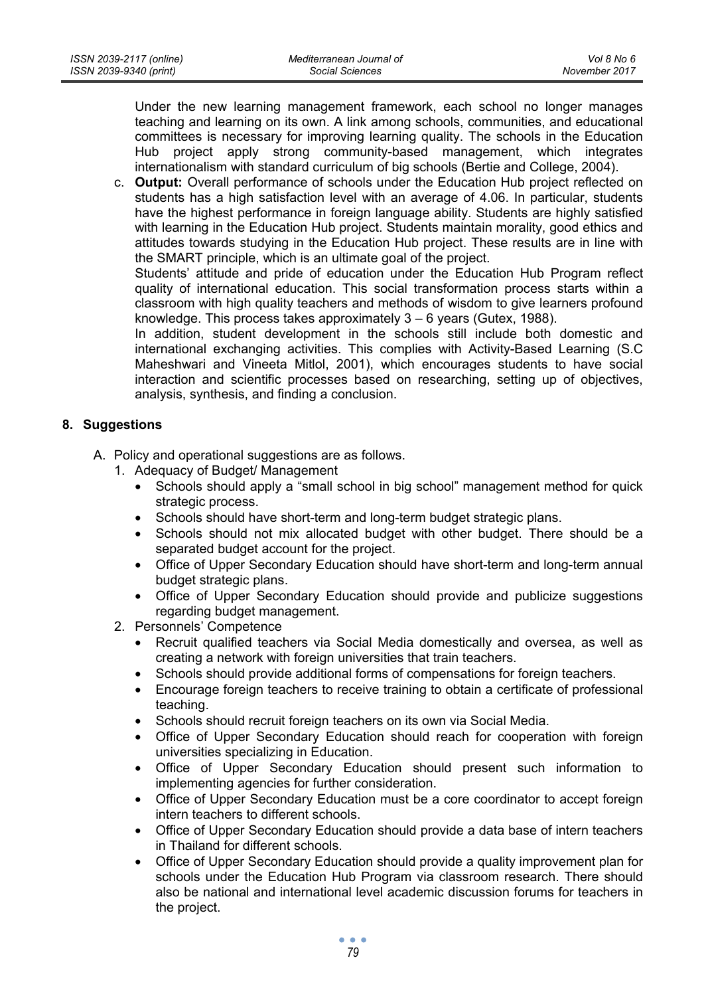Under the new learning management framework, each school no longer manages teaching and learning on its own. A link among schools, communities, and educational committees is necessary for improving learning quality. The schools in the Education Hub project apply strong community-based management, which integrates internationalism with standard curriculum of big schools (Bertie and College, 2004).

c. **Output:** Overall performance of schools under the Education Hub project reflected on students has a high satisfaction level with an average of 4.06. In particular, students have the highest performance in foreign language ability. Students are highly satisfied with learning in the Education Hub project. Students maintain morality, good ethics and attitudes towards studying in the Education Hub project. These results are in line with the SMART principle, which is an ultimate goal of the project.

Students' attitude and pride of education under the Education Hub Program reflect quality of international education. This social transformation process starts within a classroom with high quality teachers and methods of wisdom to give learners profound knowledge. This process takes approximately 3 – 6 years (Gutex, 1988).

In addition, student development in the schools still include both domestic and international exchanging activities. This complies with Activity-Based Learning (S.C Maheshwari and Vineeta Mitlol, 2001), which encourages students to have social interaction and scientific processes based on researching, setting up of objectives, analysis, synthesis, and finding a conclusion.

# **8. Suggestions**

- A. Policy and operational suggestions are as follows.
	- 1. Adequacy of Budget/ Management
		- Schools should apply a "small school in big school" management method for quick strategic process.
		- Schools should have short-term and long-term budget strategic plans.
		- Schools should not mix allocated budget with other budget. There should be a separated budget account for the project.
		- Office of Upper Secondary Education should have short-term and long-term annual budget strategic plans.
		- Office of Upper Secondary Education should provide and publicize suggestions regarding budget management.
	- 2. Personnels' Competence
		- Recruit qualified teachers via Social Media domestically and oversea, as well as creating a network with foreign universities that train teachers.
		- Schools should provide additional forms of compensations for foreign teachers.
		- Encourage foreign teachers to receive training to obtain a certificate of professional teaching.
		- Schools should recruit foreign teachers on its own via Social Media.
		- Office of Upper Secondary Education should reach for cooperation with foreign universities specializing in Education.
		- Office of Upper Secondary Education should present such information to implementing agencies for further consideration.
		- Office of Upper Secondary Education must be a core coordinator to accept foreign intern teachers to different schools.
		- Office of Upper Secondary Education should provide a data base of intern teachers in Thailand for different schools.
		- Office of Upper Secondary Education should provide a quality improvement plan for schools under the Education Hub Program via classroom research. There should also be national and international level academic discussion forums for teachers in the project.